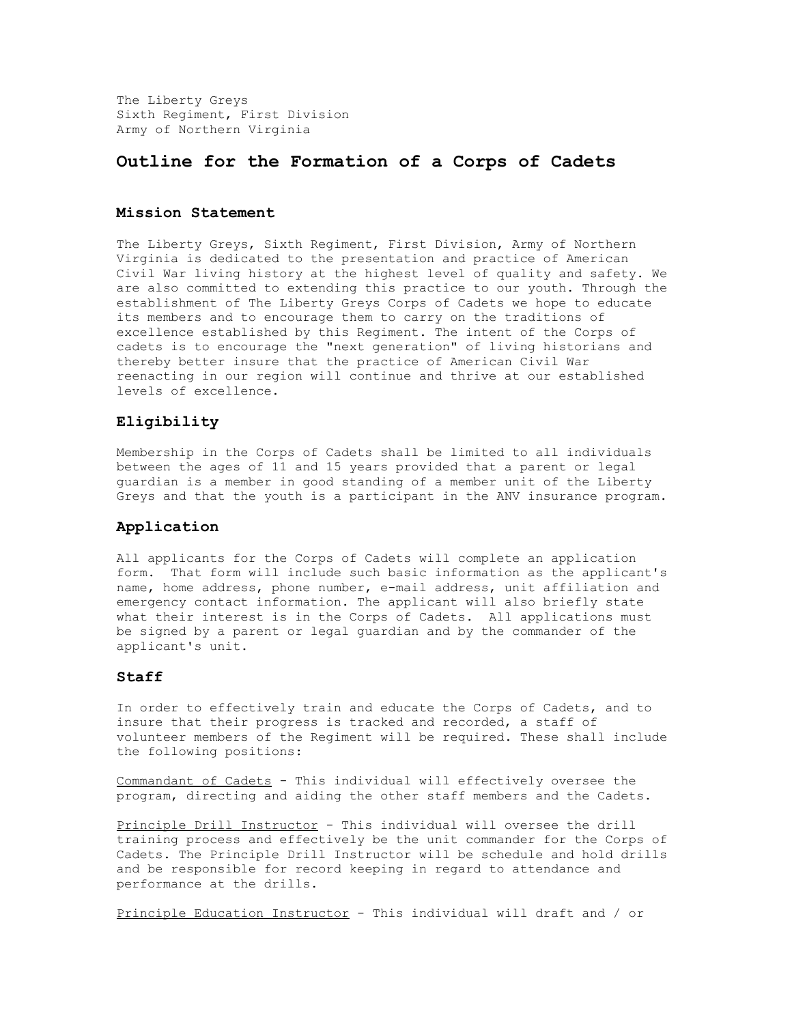The Liberty Greys Sixth Regiment, First Division Army of Northern Virginia

# **Outline for the Formation of a Corps of Cadets**

#### **Mission Statement**

The Liberty Greys, Sixth Regiment, First Division, Army of Northern Virginia is dedicated to the presentation and practice of American Civil War living history at the highest level of quality and safety. We are also committed to extending this practice to our youth. Through the establishment of The Liberty Greys Corps of Cadets we hope to educate its members and to encourage them to carry on the traditions of excellence established by this Regiment. The intent of the Corps of cadets is to encourage the "next generation" of living historians and thereby better insure that the practice of American Civil War reenacting in our region will continue and thrive at our established levels of excellence.

## **Eligibility**

Membership in the Corps of Cadets shall be limited to all individuals between the ages of 11 and 15 years provided that a parent or legal guardian is a member in good standing of a member unit of the Liberty Greys and that the youth is a participant in the ANV insurance program.

#### **Application**

All applicants for the Corps of Cadets will complete an application form. That form will include such basic information as the applicant's name, home address, phone number, e-mail address, unit affiliation and emergency contact information. The applicant will also briefly state what their interest is in the Corps of Cadets. All applications must be signed by a parent or legal guardian and by the commander of the applicant's unit.

### **Staff**

In order to effectively train and educate the Corps of Cadets, and to insure that their progress is tracked and recorded, a staff of volunteer members of the Regiment will be required. These shall include the following positions:

Commandant of Cadets - This individual will effectively oversee the program, directing and aiding the other staff members and the Cadets.

Principle Drill Instructor - This individual will oversee the drill training process and effectively be the unit commander for the Corps of Cadets. The Principle Drill Instructor will be schedule and hold drills and be responsible for record keeping in regard to attendance and performance at the drills.

Principle Education Instructor - This individual will draft and / or